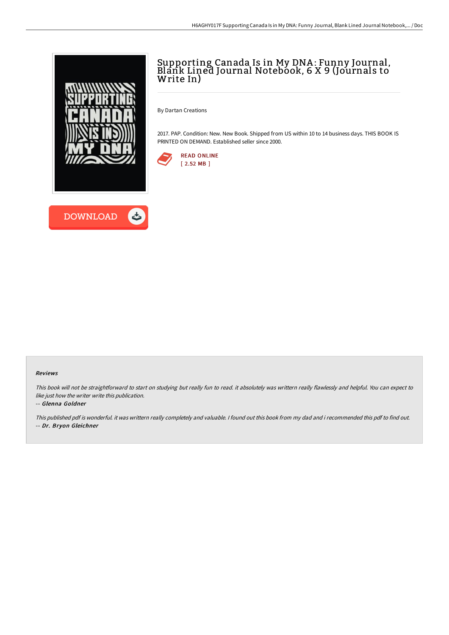



## Supporting Canada Is in My DNA : Funny Journal, Blank Lined Journal Notebook, 6 X 9 (Journals to Write In)

By Dartan Creations

2017. PAP. Condition: New. New Book. Shipped from US within 10 to 14 business days. THIS BOOK IS PRINTED ON DEMAND. Established seller since 2000.



## Reviews

This book will not be straightforward to start on studying but really fun to read. it absolutely was writtern really flawlessly and helpful. You can expect to like just how the writer write this publication.

## -- Glenna Goldner

This published pdf is wonderful. it was writtern really completely and valuable. I found out this book from my dad and i recommended this pdf to find out. -- Dr. Bryon Gleichner